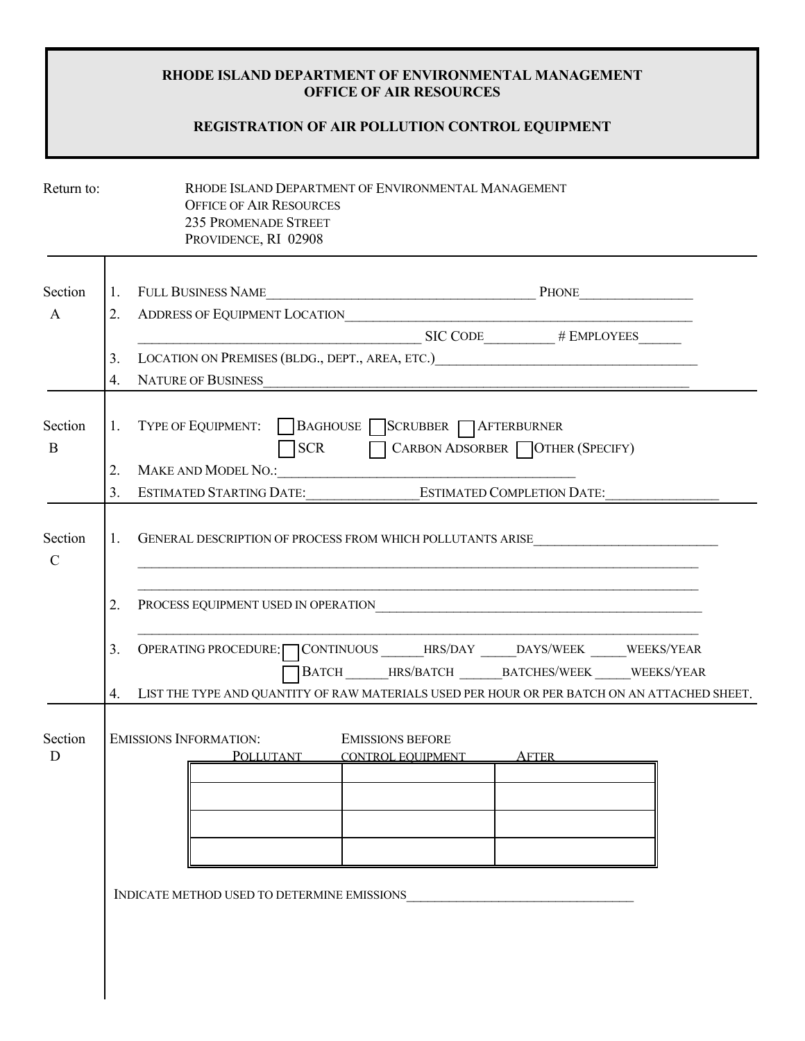## **RHODE ISLAND DEPARTMENT OF ENVIRONMENTAL MANAGEMENT OFFICE OF AIR RESOURCES**

## **REGISTRATION OF AIR POLLUTION CONTROL EQUIPMENT**

| Return to:               |                      | RHODE ISLAND DEPARTMENT OF ENVIRONMENTAL MANAGEMENT<br><b>OFFICE OF AIR RESOURCES</b><br><b>235 PROMENADE STREET</b><br>PROVIDENCE, RI 02908                                                                                                  |  |
|--------------------------|----------------------|-----------------------------------------------------------------------------------------------------------------------------------------------------------------------------------------------------------------------------------------------|--|
| Section<br>A             |                      |                                                                                                                                                                                                                                               |  |
|                          |                      | SIC CODE # EMPLOYEES                                                                                                                                                                                                                          |  |
|                          | 3.<br>$4_{\cdot}$    | LOCATION ON PREMISES (BLDG., DEPT., AREA, ETC.) CONTRACTED AND PREMISES (BLDG., DEPT., AREA, ETC.)<br><b>NATURE OF BUSINESS</b><br><u> 1980 - Jan James James Barnett, amerikan ba</u>                                                        |  |
| Section<br>B             | 2.<br>3 <sub>1</sub> | 1. TYPE OF EQUIPMENT: BAGHOUSE SCRUBBER AFTERBURNER<br>CARBON ADSORBER   OTHER (SPECIFY)<br><b>SCR</b><br>$\Box$<br><b>MAKE AND MODEL NO.:</b><br><b>ESTIMATED COMPLETION DATE:</b><br><b>ESTIMATED STARTING DATE:</b>                        |  |
| Section<br>$\mathcal{C}$ |                      | 1. GENERAL DESCRIPTION OF PROCESS FROM WHICH POLLUTANTS ARISE                                                                                                                                                                                 |  |
|                          | 2.                   | PROCESS EQUIPMENT USED IN OPERATION CONTROL CONTROL CONTROL CONTROL CONTROL CONTROL CONTROL CONTROL CONTROL CONTROL CONTROL CONTROL CONTROL CONTROL CONTROL CONTROL CONTROL CONTROL CONTROL CONTROL CONTROL CONTROL CONTROL CO                |  |
|                          | 3 <sub>1</sub>       | OPERATING PROCEDURE: CONTINUOUS ______HRS/DAY _____DAYS/WEEK _____WEEKS/YEAR<br>BATCH_______HRS/BATCH_________BATCHES/WEEK______WEEKS/YEAR<br>4. LIST THE TYPE AND QUANTITY OF RAW MATERIALS USED PER HOUR OR PER BATCH ON AN ATTACHED SHEET. |  |
| Section<br>D             |                      | <b>EMISSIONS INFORMATION:</b><br><b>EMISSIONS BEFORE</b><br>POLLUTANT CONTROL EQUIPMENT AFTER                                                                                                                                                 |  |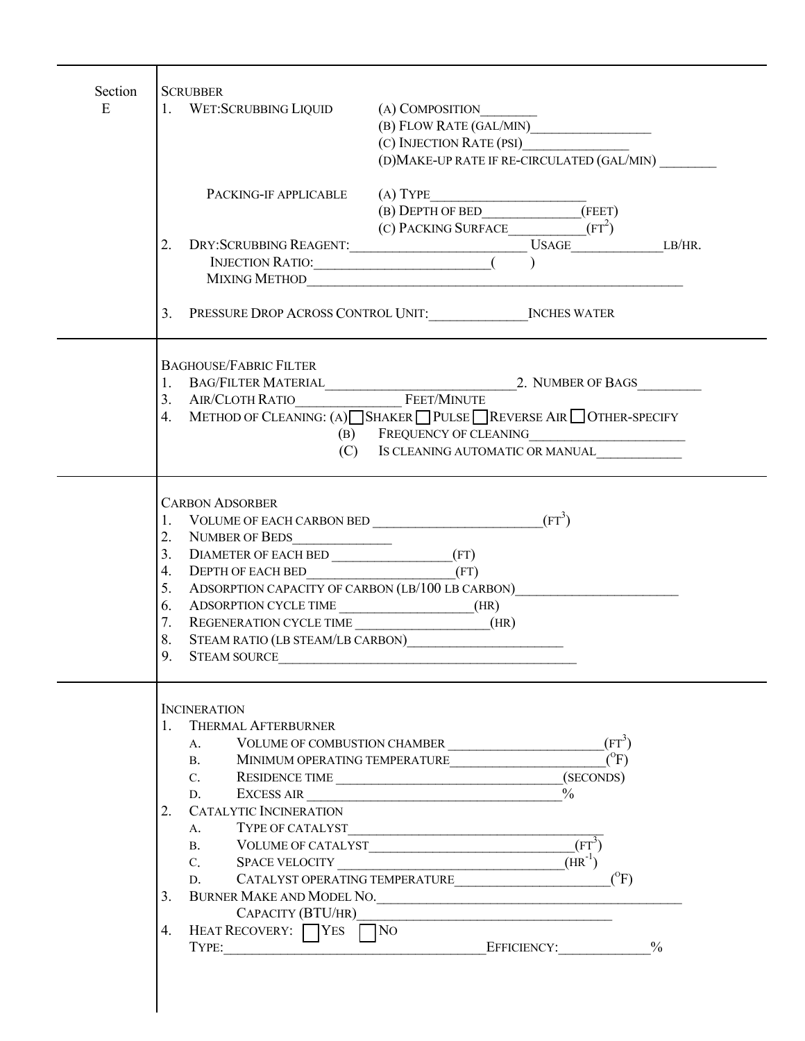| Section<br>E | <b>SCRUBBER</b><br>1. WET:SCRUBBING LIQUID<br>(A) COMPOSITION     |
|--------------|-------------------------------------------------------------------|
|              |                                                                   |
|              |                                                                   |
|              | (D)MAKE-UP RATE IF RE-CIRCULATED (GAL/MIN)                        |
|              | (A) TYPE<br>PACKING-IF APPLICABLE                                 |
|              | (B) DEPTH OF BED_______________(FEET)                             |
|              | (C) PACKING SURFACE____________( $FT^2$ )                         |
|              |                                                                   |
|              |                                                                   |
|              | MIXING METHOD                                                     |
|              |                                                                   |
|              | <b>BAGHOUSE/FABRIC FILTER</b>                                     |
|              |                                                                   |
|              |                                                                   |
|              | 4. METHOD OF CLEANING: (A) SHAKER PULSE REVERSE AIR OTHER-SPECIFY |
|              | (B) FREQUENCY OF CLEANING                                         |
|              | (C)<br>IS CLEANING AUTOMATIC OR MANUAL                            |
|              | <b>CARBON ADSORBER</b>                                            |
|              | 1. VOLUME OF EACH CARBON BED<br>$(FT^3)$                          |
|              | 2. NUMBER OF BEDS                                                 |
|              | 3. DIAMETER OF EACH BED (FT)                                      |
|              | (FT)<br>4. DEPTH OF EACH BED                                      |
|              | 5. ADSORPTION CAPACITY OF CARBON (LB/100 LB CARBON)               |
|              | ADSORPTION CYCLE TIME (HR)<br>6.                                  |
|              | 7.<br>REGENERATION CYCLE TIME (HR)<br>8.                          |
|              | STEAM RATIO (LB STEAM/LB CARBON)<br>9.<br>STEAM SOURCE            |
|              |                                                                   |
|              | <b>INCINERATION</b>                                               |
|              | 1. THERMAL AFTERBURNER                                            |
|              | A.                                                                |
|              | $(^{0}F)$<br><b>B.</b><br>MINIMUM OPERATING TEMPERATURE           |
|              | D.                                                                |
|              | EXCESS AIR<br>2. CATALYTIC INCINERATION                           |
|              | $A_{\cdot}$                                                       |
|              | $(FT^3)$<br>B. VOLUME OF CATALYST                                 |
|              | $(HR^{-1})$                                                       |
|              | $(^{0}F)$<br>D. CATALYST OPERATING TEMPERATURE                    |
|              | 3. BURNER MAKE AND MODEL NO.                                      |
|              |                                                                   |
|              | 4. HEAT RECOVERY: YES NO                                          |
|              | TYPE: 2010 2010 EFFICIENCY: 2010                                  |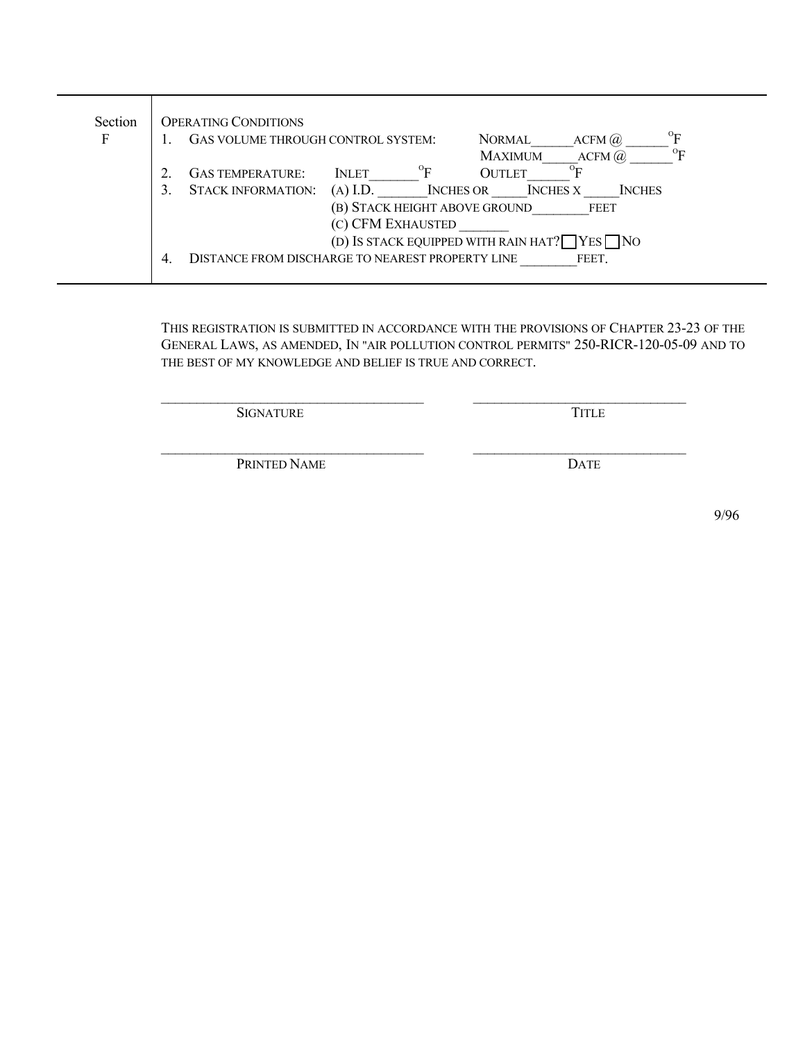| Section | <b>OPERATING CONDITIONS</b>                                                                     |
|---------|-------------------------------------------------------------------------------------------------|
| F       | $^{\rm o}$ E<br>GAS VOLUME THROUGH CONTROL SYSTEM:<br><b>NORMAL</b><br>ACFM(a)                  |
|         | $\rm ^{O}E$<br><b>MAXIMUM</b><br>$ACFM$ $\omega$                                                |
|         | $^0$ F<br>$\sigma_{\mathbf{E}}$<br><b>OUTLET</b><br><b>GAS TEMPERATURE:</b><br><b>INLET</b>     |
|         | $(A)$ I.D.<br><b>STACK INFORMATION:</b><br><b>INCHES OR</b><br><b>INCHES X</b><br><b>INCHES</b> |
|         | (B) STACK HEIGHT ABOVE GROUND<br><b>FEET</b>                                                    |
|         | (C) CFM EXHAUSTED                                                                               |
|         | (D) IS STACK EQUIPPED WITH RAIN HAT? $\Box$ YES $\Box$ NO                                       |
|         | DISTANCE FROM DISCHARGE TO NEAREST PROPERTY LINE<br>FEET.<br>4.                                 |
|         |                                                                                                 |

THIS REGISTRATION IS SUBMITTED IN ACCORDANCE WITH THE PROVISIONS OF CHAPTER 23-23 OF THE GENERAL LAWS, AS AMENDED, IN "AIR POLLUTION CONTROL PERMITS" 250-RICR-120-05-09 AND TO THE BEST OF MY KNOWLEDGE AND BELIEF IS TRUE AND CORRECT.

 $\mathcal{L}_\text{max} = \mathcal{L}_\text{max} = \mathcal{L}_\text{max} = \mathcal{L}_\text{max} = \mathcal{L}_\text{max} = \mathcal{L}_\text{max} = \mathcal{L}_\text{max} = \mathcal{L}_\text{max} = \mathcal{L}_\text{max} = \mathcal{L}_\text{max} = \mathcal{L}_\text{max} = \mathcal{L}_\text{max} = \mathcal{L}_\text{max} = \mathcal{L}_\text{max} = \mathcal{L}_\text{max} = \mathcal{L}_\text{max} = \mathcal{L}_\text{max} = \mathcal{L}_\text{max} = \mathcal{$ 

\_\_\_\_\_\_\_\_\_\_\_\_\_\_\_\_\_\_\_\_\_\_\_\_\_\_\_\_\_\_\_\_\_\_\_\_\_ \_\_\_\_\_\_\_\_\_\_\_\_\_\_\_\_\_\_\_\_\_\_\_\_\_\_\_\_\_\_

SIGNATURE TITLE

PRINTED NAME DATE

9/96